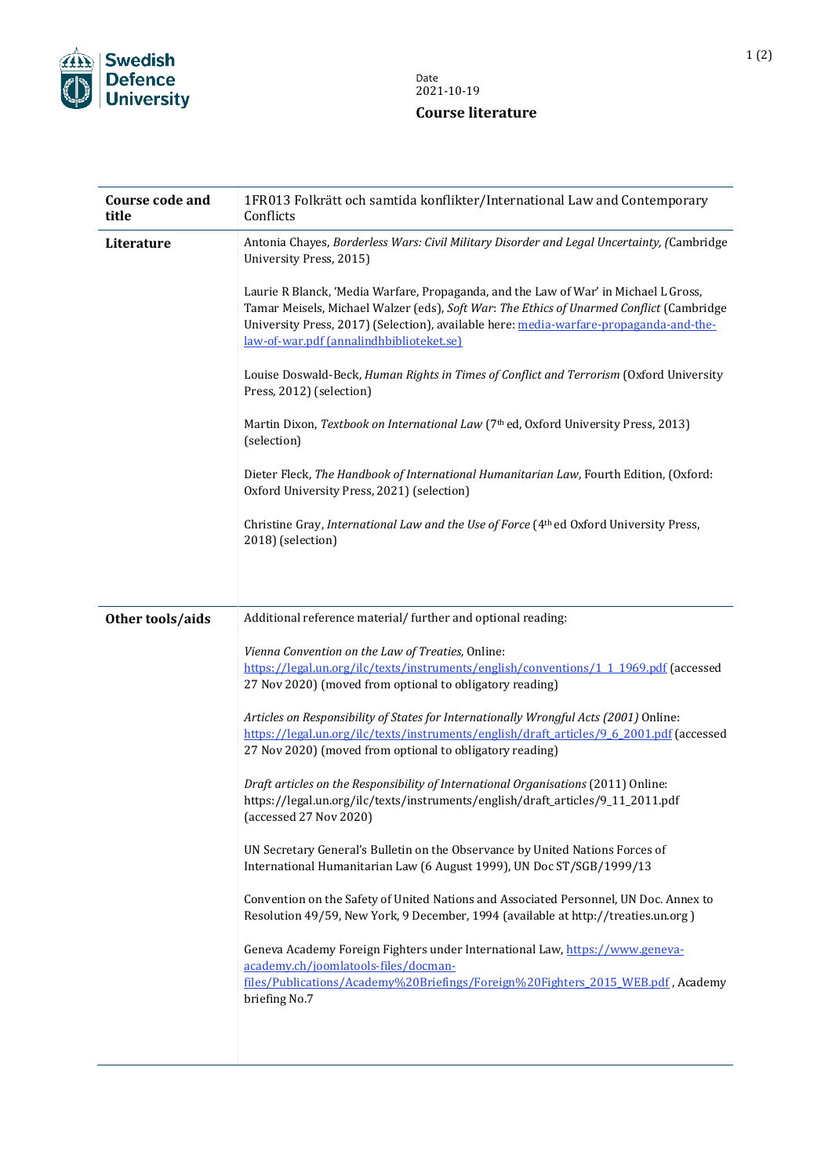

## Date 2021-10-19 **Course literature**

| <b>Course code and</b><br>title | 1FR013 Folkrätt och samtida konflikter/International Law and Contemporary<br>Conflicts                                                                                                                                                                                                                                 |
|---------------------------------|------------------------------------------------------------------------------------------------------------------------------------------------------------------------------------------------------------------------------------------------------------------------------------------------------------------------|
| Literature                      | Antonia Chayes, Borderless Wars: Civil Military Disorder and Legal Uncertainty, (Cambridge<br>University Press, 2015)                                                                                                                                                                                                  |
|                                 | Laurie R Blanck, 'Media Warfare, Propaganda, and the Law of War' in Michael L Gross,<br>Tamar Meisels, Michael Walzer (eds), Soft War: The Ethics of Unarmed Conflict (Cambridge<br>University Press, 2017) (Selection), available here: media-warfare-propaganda-and-the-<br>law-of-war.pdf (annalindhbiblioteket.se) |
|                                 | Louise Doswald-Beck, Human Rights in Times of Conflict and Terrorism (Oxford University<br>Press, 2012) (selection)                                                                                                                                                                                                    |
|                                 | Martin Dixon, Textbook on International Law (7th ed, Oxford University Press, 2013)<br>(selection)                                                                                                                                                                                                                     |
|                                 | Dieter Fleck, The Handbook of International Humanitarian Law, Fourth Edition, (Oxford:<br>Oxford University Press, 2021) (selection)                                                                                                                                                                                   |
|                                 | Christine Gray, International Law and the Use of Force (4th ed Oxford University Press,<br>2018) (selection)                                                                                                                                                                                                           |
|                                 |                                                                                                                                                                                                                                                                                                                        |
| Other tools/aids                | Additional reference material/ further and optional reading:                                                                                                                                                                                                                                                           |
|                                 | Vienna Convention on the Law of Treaties, Online:                                                                                                                                                                                                                                                                      |
|                                 | https://legal.un.org/ilc/texts/instruments/english/conventions/1 1 1969.pdf (accessed                                                                                                                                                                                                                                  |
|                                 | 27 Nov 2020) (moved from optional to obligatory reading)                                                                                                                                                                                                                                                               |
|                                 | Articles on Responsibility of States for Internationally Wrongful Acts (2001) Online:<br>https://legal.un.org/ilc/texts/instruments/english/draft articles/9 6 2001.pdf (accessed<br>27 Nov 2020) (moved from optional to obligatory reading)                                                                          |
|                                 | Draft articles on the Responsibility of International Organisations (2011) Online:<br>https://legal.un.org/ilc/texts/instruments/english/draft_articles/9_11_2011.pdf<br>(accessed 27 Nov 2020)                                                                                                                        |
|                                 | UN Secretary General's Bulletin on the Observance by United Nations Forces of<br>International Humanitarian Law (6 August 1999), UN Doc ST/SGB/1999/13                                                                                                                                                                 |
|                                 | Convention on the Safety of United Nations and Associated Personnel, UN Doc. Annex to<br>Resolution 49/59, New York, 9 December, 1994 (available at http://treaties.un.org)                                                                                                                                            |
|                                 | Geneva Academy Foreign Fighters under International Law, https://www.geneva-<br>academy.ch/joomlatools-files/docman-                                                                                                                                                                                                   |
|                                 | files/Publications/Academy%20Briefings/Foreign%20Fighters 2015 WEB.pdf, Academy<br>briefing No.7                                                                                                                                                                                                                       |
|                                 |                                                                                                                                                                                                                                                                                                                        |